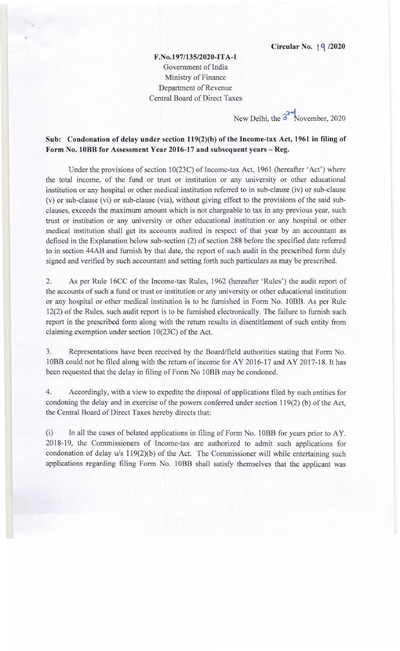F.No.197/13S/2020-IT A-I Government of India Ministry of Finance Department of Revenue Central Board of Direct Taxes

New Delhi, the  $3^{\circ}$  November, 2020

## Sub: Condonation of delay under section 119(2)(b) of the Income-tax Act, 1961 in filing of Form No. 10BB for Assessment Year 2016-17 and subsequent years - Reg.

Under the provisions of section 10(23C) of Income-tax Act, 1961 (hereafter 'Act') where the total income, of the fund or trust or institution or any university or other educational institution or any hospital or other medical institution referred to in sub-clause (iv) or sub-clause (v) or sub-clause (vi) or sub-clause (via), without giving effect to the provisions of the said subclauses, exceeds the maximum amount which is not chargeable to tax in any previous year, such trust or institution or any university or other educational institution or any hospital or other medical institution shall get its accounts audited in respect of that year by an accountant as defined in the Explanation below sub-section (2) of section 288 before the specified date referred to in section 44AB and furnish by that date, the report of such audit in the prescribed form duly signed and verified by such accountant and setting forth such particulars as may be prescribed.

2. As per Rule 16CC of the Income-tax Rules, 1962 (hereafter 'Rules') the audit report of the accounts of such a fund or trust or institution or any university or other educational institution or any hospital or other medical institution is to be furnished in Form No. 10BB. As per Rule 12(2) of the Rules, such audit report is to be furnished electronically. The failure to furnish such report in the prescribed form along with the return results in disentitlement of such entity from claiming exemption under section 10(23C) of the Act.

3. Representations have been received by the Board/field authorities stating that Form No. 10BB could not be filed along with the return of income for AY 2016-17 and AY 2017-18. It has been requested that the delay in filing of Form No 10BB may be condoned.

4. Accordingly, with a view to expedite the disposal of applications filed by such entities for condoning the delay and in exercise of the powers conferred under section I 19(2) (b) of the Act, the Central Board of Direct Taxes hereby directs that:

(i) In all the cases of belated applications in filing of Form No. 10BB for years prior to AY. 2018-19, the Commissioners of Income-tax are authorized to admit such applications for condonation of delay *u*/s 119(2)(b) of the Act. The Commissioner will while entertaining such applications regarding filing Form No. IOBB shall satisfy themselves that the applicant was